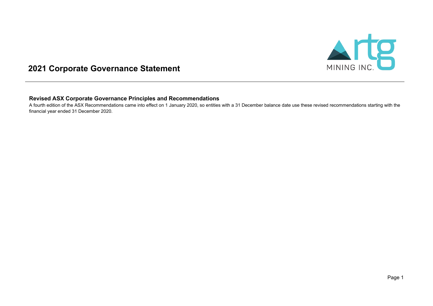

# **2021 Corporate Governance Statement**

### **Revised ASX Corporate Governance Principles and Recommendations**

A fourth edition of the ASX Recommendations came into effect on 1 January 2020, so entities with a 31 December balance date use these revised recommendations starting with the financial year ended 31 December 2020.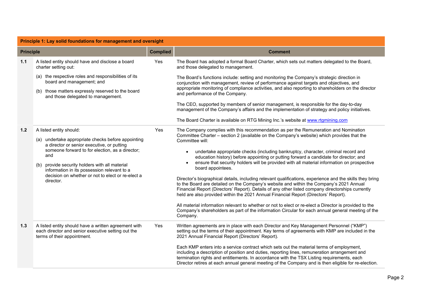|                  | Principle 1: Lay solid foundations for management and oversight                                                                                                                                                                                                                                                                  |                 |                                                                                                                                                                                                                                                                                                                                                                                                                               |  |  |  |
|------------------|----------------------------------------------------------------------------------------------------------------------------------------------------------------------------------------------------------------------------------------------------------------------------------------------------------------------------------|-----------------|-------------------------------------------------------------------------------------------------------------------------------------------------------------------------------------------------------------------------------------------------------------------------------------------------------------------------------------------------------------------------------------------------------------------------------|--|--|--|
| <b>Principle</b> |                                                                                                                                                                                                                                                                                                                                  | <b>Complied</b> | <b>Comment</b>                                                                                                                                                                                                                                                                                                                                                                                                                |  |  |  |
| 1.1              | A listed entity should have and disclose a board<br>charter setting out:                                                                                                                                                                                                                                                         | Yes             | The Board has adopted a formal Board Charter, which sets out matters delegated to the Board,<br>and those delegated to management.                                                                                                                                                                                                                                                                                            |  |  |  |
|                  | (a) the respective roles and responsibilities of its<br>board and management; and                                                                                                                                                                                                                                                |                 | The Board's functions include: setting and monitoring the Company's strategic direction in<br>conjunction with management, review of performance against targets and objectives, and                                                                                                                                                                                                                                          |  |  |  |
|                  | (b) those matters expressly reserved to the board<br>and those delegated to management.                                                                                                                                                                                                                                          |                 | appropriate monitoring of compliance activities, and also reporting to shareholders on the director<br>and performance of the Company.                                                                                                                                                                                                                                                                                        |  |  |  |
|                  |                                                                                                                                                                                                                                                                                                                                  |                 | The CEO, supported by members of senior management, is responsible for the day-to-day<br>management of the Company's affairs and the implementation of strategy and policy initiatives.                                                                                                                                                                                                                                       |  |  |  |
|                  |                                                                                                                                                                                                                                                                                                                                  |                 | The Board Charter is available on RTG Mining Inc.'s website at www.rtgmining.com                                                                                                                                                                                                                                                                                                                                              |  |  |  |
| $1.2$            | A listed entity should:                                                                                                                                                                                                                                                                                                          | Yes             | The Company complies with this recommendation as per the Remuneration and Nomination<br>Committee Charter - section 2 (available on the Company's website) which provides that the                                                                                                                                                                                                                                            |  |  |  |
|                  | (a) undertake appropriate checks before appointing<br>a director or senior executive, or putting<br>someone forward to for election, as a director;<br>and<br>provide security holders with all material<br>(b)<br>information in its possession relevant to a<br>decision on whether or not to elect or re-elect a<br>director. |                 | Committee will:<br>undertake appropriate checks (including bankruptcy, character, criminal record and<br>education history) before appointing or putting forward a candidate for director; and<br>ensure that security holders will be provided with all material information on prospective<br>board appointees.<br>Director's biographical details, including relevant qualifications, experience and the skills they bring |  |  |  |
|                  |                                                                                                                                                                                                                                                                                                                                  |                 | to the Board are detailed on the Company's website and within the Company's 2021 Annual<br>Financial Report (Directors' Report). Details of any other listed company directorships currently<br>held are also provided within the 2021 Annual Financial Report (Directors' Report).                                                                                                                                           |  |  |  |
|                  |                                                                                                                                                                                                                                                                                                                                  |                 | All material information relevant to whether or not to elect or re-elect a Director is provided to the<br>Company's shareholders as part of the information Circular for each annual general meeting of the<br>Company.                                                                                                                                                                                                       |  |  |  |
| 1.3              | A listed entity should have a written agreement with<br>each director and senior executive setting out the<br>terms of their appointment.                                                                                                                                                                                        | Yes             | Written agreements are in place with each Director and Key Management Personnel ("KMP")<br>setting out the terms of their appointment. Key terms of agreements with KMP are included in the<br>2021 Annual Financial Report (Directors' Report).                                                                                                                                                                              |  |  |  |
|                  |                                                                                                                                                                                                                                                                                                                                  |                 | Each KMP enters into a service contract which sets out the material terms of employment,<br>including a description of position and duties, reporting lines, remuneration arrangement and<br>termination rights and entitlements. In accordance with the TSX Listing requirements, each<br>Director retires at each annual general meeting of the Company and is then eligible for re-election.                               |  |  |  |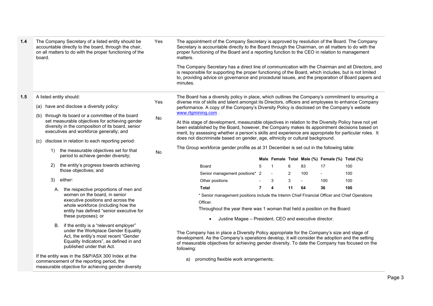| 1.4 | The Company Secretary of a listed entity should be<br>accountable directly to the board, through the chair,<br>on all matters to do with the proper functioning of the<br>board.                        | Yes       | The appointment of the Company Secretary is approved by resolution of the Board. The Company<br>Secretary is accountable directly to the Board through the Chairman, on all matters to do with the<br>proper functioning of the Board and a reporting function to the CEO in relation to management<br>matters.             |                |                |    |                |                                                 |     |
|-----|---------------------------------------------------------------------------------------------------------------------------------------------------------------------------------------------------------|-----------|-----------------------------------------------------------------------------------------------------------------------------------------------------------------------------------------------------------------------------------------------------------------------------------------------------------------------------|----------------|----------------|----|----------------|-------------------------------------------------|-----|
|     |                                                                                                                                                                                                         |           | The Company Secretary has a direct line of communication with the Chairman and all Directors, and<br>is responsible for supporting the proper functioning of the Board, which includes, but is not limited<br>to, providing advice on governance and procedural issues, and the preparation of Board papers and<br>minutes. |                |                |    |                |                                                 |     |
| 1.5 | A listed entity should:                                                                                                                                                                                 |           | The Board has a diversity policy in place, which outlines the Company's commitment to ensuring a                                                                                                                                                                                                                            |                |                |    |                |                                                 |     |
|     | (a) have and disclose a diversity policy:                                                                                                                                                               | Yes       | diverse mix of skills and talent amongst its Directors, officers and employees to enhance Company<br>performance. A copy of the Company's Diversity Policy is disclosed on the Company's website                                                                                                                            |                |                |    |                |                                                 |     |
|     | through its board or a committee of the board<br>(b)                                                                                                                                                    | <b>No</b> | www.rtgmining.com.                                                                                                                                                                                                                                                                                                          |                |                |    |                |                                                 |     |
|     | set measurable objectives for achieving gender<br>diversity in the composition of its board, senior<br>executives and workforce generally; and<br>disclose in relation to each reporting period:<br>(c) |           | At this stage of development, measurable objectives in relation to the Diversity Policy have not yet<br>been established by the Board, however, the Company makes its appointment decisions based on<br>merit, by assessing whether a person's skills and experience are appropriate for particular roles. It               |                |                |    |                |                                                 |     |
|     |                                                                                                                                                                                                         |           | does not discriminate based on gender, age, ethnicity or cultural background.                                                                                                                                                                                                                                               |                |                |    |                |                                                 |     |
|     | the measurable objectives set for that<br>1)<br>period to achieve gender diversity;                                                                                                                     | <b>No</b> | The Group workforce gender profile as at 31 December is set out in the following table:                                                                                                                                                                                                                                     |                |                |    |                |                                                 |     |
|     |                                                                                                                                                                                                         |           |                                                                                                                                                                                                                                                                                                                             |                |                |    |                | Male Female Total Male (%) Female (%) Total (%) |     |
|     | the entity's progress towards achieving<br>2)<br>those objectives; and                                                                                                                                  |           | Board                                                                                                                                                                                                                                                                                                                       | 5              | $\overline{1}$ | 6  | 83             | 17                                              | 100 |
|     |                                                                                                                                                                                                         |           | Senior management positions* 2                                                                                                                                                                                                                                                                                              |                |                | 2  | 100            | ÷.                                              | 100 |
|     | 3)<br>either:                                                                                                                                                                                           |           | Other positions                                                                                                                                                                                                                                                                                                             |                | 3              | 3  | $\blacksquare$ | 100                                             | 100 |
|     | A. the respective proportions of men and                                                                                                                                                                |           | <b>Total</b>                                                                                                                                                                                                                                                                                                                | $\overline{7}$ | 4              | 11 | 64             | 36                                              | 100 |
|     | women on the board, in senior                                                                                                                                                                           |           | * Senior management positions include the Interim Chief Financial Officer and Chief Operations                                                                                                                                                                                                                              |                |                |    |                |                                                 |     |
|     | executive positions and across the<br>whole workforce (including how the                                                                                                                                |           | Officer.                                                                                                                                                                                                                                                                                                                    |                |                |    |                |                                                 |     |
|     | entity has defined "senior executive for                                                                                                                                                                |           | Throughout the year there was 1 woman that held a position on the Board:                                                                                                                                                                                                                                                    |                |                |    |                |                                                 |     |
|     | these purposes); or                                                                                                                                                                                     |           | Justine Magee - President, CEO and executive director.<br>$\bullet$                                                                                                                                                                                                                                                         |                |                |    |                |                                                 |     |
|     | B. if the entity is a "relevant employer"<br>under the Workplace Gender Equality<br>Act, the entity's most recent "Gender<br>Equality Indicators", as defined in and<br>published under that Act.       |           | The Company has in place a Diversity Policy appropriate for the Company's size and stage of<br>development. As the Company's operations develop, it will consider the adoption and the setting<br>of measurable objectives for achieving gender diversity. To date the Company has focused on the<br>following:             |                |                |    |                |                                                 |     |

a) promoting flexible work arrangements;

If the entity was in the S&P/ASX 300 Index at the commencement of the reporting period, the measurable objective for achieving gender diversity

Page 3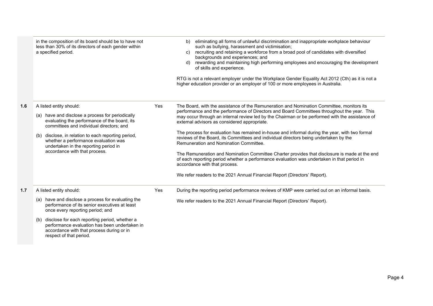|     | in the composition of its board should be to have not<br>less than 30% of its directors of each gender within<br>a specified period.                                       |     | eliminating all forms of unlawful discrimination and inappropriate workplace behaviour<br>b)<br>such as bullying, harassment and victimisation;<br>recruiting and retaining a workforce from a broad pool of candidates with diversified<br>c)<br>backgrounds and experiences; and<br>rewarding and maintaining high performing employees and encouraging the development<br>d)<br>of skills and experience.<br>RTG is not a relevant employer under the Workplace Gender Equality Act 2012 (Cth) as it is not a<br>higher education provider or an employer of 100 or more employees in Australia. |
|-----|----------------------------------------------------------------------------------------------------------------------------------------------------------------------------|-----|-----------------------------------------------------------------------------------------------------------------------------------------------------------------------------------------------------------------------------------------------------------------------------------------------------------------------------------------------------------------------------------------------------------------------------------------------------------------------------------------------------------------------------------------------------------------------------------------------------|
| 1.6 | A listed entity should:<br>(a) have and disclose a process for periodically<br>evaluating the performance of the board, its<br>committees and individual directors; and    | Yes | The Board, with the assistance of the Remuneration and Nomination Committee, monitors its<br>performance and the performance of Directors and Board Committees throughout the year. This<br>may occur through an internal review led by the Chairman or be performed with the assistance of<br>external advisors as considered appropriate.                                                                                                                                                                                                                                                         |
|     | (b) disclose, in relation to each reporting period,<br>whether a performance evaluation was<br>undertaken in the reporting period in<br>accordance with that process.      |     | The process for evaluation has remained in-house and informal during the year, with two formal<br>reviews of the Board, its Committees and individual directors being undertaken by the<br>Remuneration and Nomination Committee.<br>The Remuneration and Nomination Committee Charter provides that disclosure is made at the end<br>of each reporting period whether a performance evaluation was undertaken in that period in<br>accordance with that process.                                                                                                                                   |
|     |                                                                                                                                                                            |     | We refer readers to the 2021 Annual Financial Report (Directors' Report).                                                                                                                                                                                                                                                                                                                                                                                                                                                                                                                           |
| 1.7 | A listed entity should:                                                                                                                                                    | Yes | During the reporting period performance reviews of KMP were carried out on an informal basis.                                                                                                                                                                                                                                                                                                                                                                                                                                                                                                       |
|     | (a) have and disclose a process for evaluating the<br>performance of its senior executives at least<br>once every reporting period; and                                    |     | We refer readers to the 2021 Annual Financial Report (Directors' Report).                                                                                                                                                                                                                                                                                                                                                                                                                                                                                                                           |
|     | (b) disclose for each reporting period, whether a<br>performance evaluation has been undertaken in<br>accordance with that process during or in<br>respect of that period. |     |                                                                                                                                                                                                                                                                                                                                                                                                                                                                                                                                                                                                     |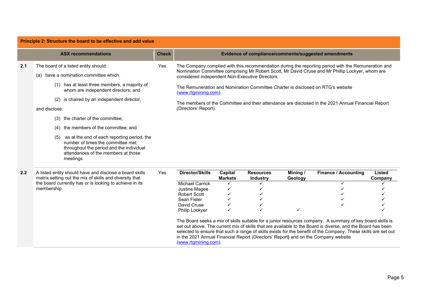|     | <b>Principle 2: Structure the board to be effective and add value</b>                                                                                                                                                                                                                                                                                                                                                   |              |                                                                                                                |                           |                              |                     |                                                                                                                                                                                                                                                                                                                                                                                                   |                          |
|-----|-------------------------------------------------------------------------------------------------------------------------------------------------------------------------------------------------------------------------------------------------------------------------------------------------------------------------------------------------------------------------------------------------------------------------|--------------|----------------------------------------------------------------------------------------------------------------|---------------------------|------------------------------|---------------------|---------------------------------------------------------------------------------------------------------------------------------------------------------------------------------------------------------------------------------------------------------------------------------------------------------------------------------------------------------------------------------------------------|--------------------------|
|     | <b>ASX recommendations</b>                                                                                                                                                                                                                                                                                                                                                                                              | <b>Check</b> |                                                                                                                |                           |                              |                     | Evidence of compliance/comments/suggested amendments                                                                                                                                                                                                                                                                                                                                              |                          |
| 2.1 | The board of a listed entity should:<br>(a) have a nomination committee which:<br>(1) has at least three members, a majority of<br>whom are independent directors; and<br>is chaired by an independent director,<br>(2)<br>and disclose:<br>the charter of the committee;<br>(3)<br>the members of the committee; and<br>(4)<br>as at the end of each reporting period, the<br>(5)<br>number of times the committee met | Yes          | considered independent Non-Executive Directors.<br>(www.rtgmining.com).<br>(Directors' Report).                |                           |                              |                     | The Company complied with this recommendation during the reporting period with the Remuneration and<br>Nomination Committee comprising Mr Robert Scott, Mr David Cruse and Mr Phillip Lockyer, whom are<br>The Remuneration and Nomination Committee Charter is disclosed on RTG's website<br>The members of the Committee and their attendance are disclosed in the 2021 Annual Financial Report |                          |
| 2.2 | throughout the period and the individual<br>attendances of the members at those<br>meetings<br>A listed entity should have and disclose a board skills<br>matrix setting out the mix of skills and diversity that                                                                                                                                                                                                       | Yes          | <b>Director/Skills</b>                                                                                         | Capital<br><b>Markets</b> | <b>Resources</b><br>Industry | Mining /<br>Geology | <b>Finance / Accounting</b>                                                                                                                                                                                                                                                                                                                                                                       | <b>Listed</b><br>Company |
|     | the board currently has or is looking to achieve in its<br>membership.                                                                                                                                                                                                                                                                                                                                                  |              | <b>Michael Carrick</b><br>Justine Magee<br><b>Robert Scott</b><br>Sean Fieler<br>David Cruse<br>Philip Lockyer | ✓                         |                              | ✓                   | ✓<br>The Board seeks a mix of skills suitable for a junior resources company. A summary of key board skills is<br>set out above. The current mix of skills that are available to the Board is diverse, and the Board has been<br>selected to ensure that such a range of skills exists for the benefit of the Company. These skills are set out                                                   |                          |

[\(www.rtgmining.com\)](http://www.rtgmining.com/).

in the 2021 Annual Financial Report (Directors' Report**)** and on the Company website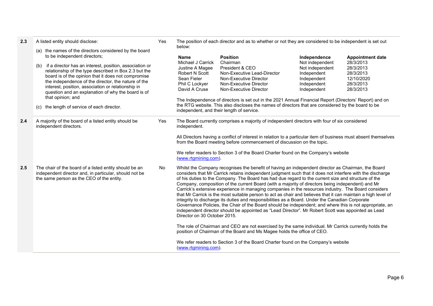| 2.3 | A listed entity should disclose:                                                                                                                                                                                                                                                                                                                                                                                                                                                                                   | Yes | The position of each director and as to whether or not they are considered to be independent is set out<br>below:                                                    |                                                                                                                                                                                                                                                                                                                                                                                                                                                                                                                                                                                                                                                                                                                                                                                                                                                                                                                                                                                                                                                                                                                                                                                                                                                   |                                                                                                                |                                                                                                        |  |
|-----|--------------------------------------------------------------------------------------------------------------------------------------------------------------------------------------------------------------------------------------------------------------------------------------------------------------------------------------------------------------------------------------------------------------------------------------------------------------------------------------------------------------------|-----|----------------------------------------------------------------------------------------------------------------------------------------------------------------------|---------------------------------------------------------------------------------------------------------------------------------------------------------------------------------------------------------------------------------------------------------------------------------------------------------------------------------------------------------------------------------------------------------------------------------------------------------------------------------------------------------------------------------------------------------------------------------------------------------------------------------------------------------------------------------------------------------------------------------------------------------------------------------------------------------------------------------------------------------------------------------------------------------------------------------------------------------------------------------------------------------------------------------------------------------------------------------------------------------------------------------------------------------------------------------------------------------------------------------------------------|----------------------------------------------------------------------------------------------------------------|--------------------------------------------------------------------------------------------------------|--|
|     | (a) the names of the directors considered by the board<br>to be independent directors;<br>if a director has an interest, position, association or<br>(b)<br>relationship of the type described in Box 2.3 but the<br>board is of the opinion that it does not compromise<br>the independence of the director, the nature of the<br>interest, position, association or relationship in<br>question and an explanation of why the board is of<br>that opinion; and<br>the length of service of each director.<br>(c) |     | <b>Name</b><br>Michael J Carrick<br>Justine A Magee<br>Robert N Scott<br>Sean Fieler<br>Phil C Lockyer<br>David A Cruse<br>independent, and their length of service. | <b>Position</b><br>Chairman<br>President & CEO<br>Non-Executive Lead-Director<br>Non-Executive Director<br>Non-Executive Director<br>Non-Executive Director<br>The Independence of directors is set out in the 2021 Annual Financial Report (Directors' Report) and on<br>the RTG website. This also discloses the names of directors that are considered by the board to be                                                                                                                                                                                                                                                                                                                                                                                                                                                                                                                                                                                                                                                                                                                                                                                                                                                                      | Independence<br>Not independent<br>Not independent<br>Independent<br>Independent<br>Independent<br>Independent | <b>Appointment date</b><br>28/3/2013<br>28/3/2013<br>28/3/2013<br>12/10/2020<br>28/3/2013<br>28/3/2013 |  |
| 2.4 | A majority of the board of a listed entity should be<br>independent directors.                                                                                                                                                                                                                                                                                                                                                                                                                                     | Yes | independent.<br>(www.rtgmining.com).                                                                                                                                 | The Board currently comprises a majority of independent directors with four of six considered<br>All Directors having a conflict of interest in relation to a particular item of business must absent themselves<br>from the Board meeting before commencement of discussion on the topic.<br>We refer readers to Section 3 of the Board Charter found on the Company's website                                                                                                                                                                                                                                                                                                                                                                                                                                                                                                                                                                                                                                                                                                                                                                                                                                                                   |                                                                                                                |                                                                                                        |  |
| 2.5 | The chair of the board of a listed entity should be an<br>independent director and, in particular, should not be<br>the same person as the CEO of the entity.                                                                                                                                                                                                                                                                                                                                                      | No  | Director on 30 October 2015.<br>(www.rtgmining.com).                                                                                                                 | Whilst the Company recognises the benefit of having an independent director as Chairman, the Board<br>considers that Mr Carrick retains independent judgment such that it does not interfere with the discharge<br>of his duties to the Company. The Board has had due regard to the current size and structure of the<br>Company, composition of the current Board (with a majority of directors being independent) and Mr<br>Carrick's extensive experience in managing companies in the resources industry. The Board considers<br>that Mr Carrick is the most suitable person to act as chair and believes that it can maintain a high level of<br>integrity to discharge its duties and responsibilities as a Board. Under the Canadian Corporate<br>Governance Policies, the Chair of the Board should be independent; and where this is not appropriate, an<br>independent director should be appointed as "Lead Director". Mr Robert Scott was appointed as Lead<br>The role of Chairman and CEO are not exercised by the same individual. Mr Carrick currently holds the<br>position of Chairman of the Board and Ms Magee holds the office of CEO.<br>We refer readers to Section 3 of the Board Charter found on the Company's website |                                                                                                                |                                                                                                        |  |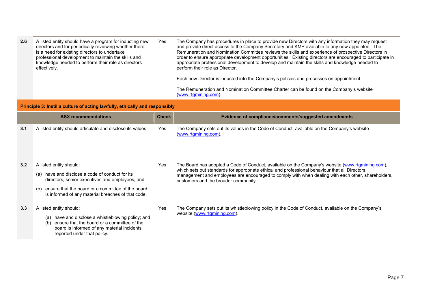| A listed entity should have a program for inducting new<br>The Company has procedures in place to provide new Directors with any information they may request<br>2.6<br>Yes<br>and provide direct access to the Company Secretary and KMP available to any new appointee. The<br>directors and for periodically reviewing whether there<br>Remuneration and Nomination Committee reviews the skills and experience of prospective Directors in<br>is a need for existing directors to undertake<br>professional development to maintain the skills and<br>order to ensure appropriate development opportunities. Existing directors are encouraged to participate in<br>appropriate professional development to develop and maintain the skills and knowledge needed to<br>knowledge needed to perform their role as directors<br>effectively.<br>perform their role as Director. |  |
|-----------------------------------------------------------------------------------------------------------------------------------------------------------------------------------------------------------------------------------------------------------------------------------------------------------------------------------------------------------------------------------------------------------------------------------------------------------------------------------------------------------------------------------------------------------------------------------------------------------------------------------------------------------------------------------------------------------------------------------------------------------------------------------------------------------------------------------------------------------------------------------|--|
|-----------------------------------------------------------------------------------------------------------------------------------------------------------------------------------------------------------------------------------------------------------------------------------------------------------------------------------------------------------------------------------------------------------------------------------------------------------------------------------------------------------------------------------------------------------------------------------------------------------------------------------------------------------------------------------------------------------------------------------------------------------------------------------------------------------------------------------------------------------------------------------|--|

Each new Director is inducted into the Company's policies and processes on appointment.

The Remuneration and Nomination Committee Charter can be found on the Company's website [\(www.rtgmining.com\)](http://www.rtgmining.com/).

## **Principle 3: Instil a culture of acting lawfully, ethically and responsibly**

board is informed of any material incidents

reported under that policy.

|     | <b>ASX recommendations</b>                                                                                                                                                                                                                         | <b>Check</b> | Evidence of compliance/comments/suggested amendments                                                                                                                                                                                                                                                                                              |
|-----|----------------------------------------------------------------------------------------------------------------------------------------------------------------------------------------------------------------------------------------------------|--------------|---------------------------------------------------------------------------------------------------------------------------------------------------------------------------------------------------------------------------------------------------------------------------------------------------------------------------------------------------|
| 3.1 | A listed entity should articulate and disclose its values.                                                                                                                                                                                         | Yes          | The Company sets out its values in the Code of Conduct, available on the Company's website<br>(www.rtgmining.com).                                                                                                                                                                                                                                |
| 3.2 | A listed entity should:<br>have and disclose a code of conduct for its<br>(a)<br>directors, senior executives and employees; and<br>ensure that the board or a committee of the board<br>(b)<br>is informed of any material breaches of that code. | Yes          | The Board has adopted a Code of Conduct, available on the Company's website (www.rtgmining.com),<br>which sets out standards for appropriate ethical and professional behaviour that all Directors,<br>management and employees are encouraged to comply with when dealing with each other, shareholders,<br>customers and the broader community. |
| 3.3 | A listed entity should:<br>have and disclose a whistleblowing policy; and<br>(a)<br>ensure that the board or a committee of the<br>(b)                                                                                                             | Yes          | The Company sets out its whistleblowing policy in the Code of Conduct, available on the Company's<br>website (www.rtgmining.com).                                                                                                                                                                                                                 |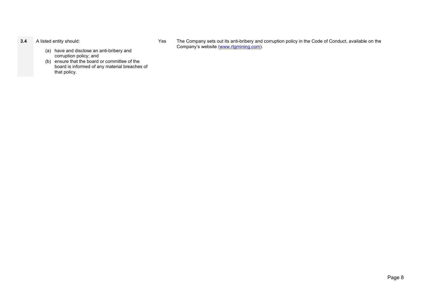**3.4** A listed entity should:

- Yes The Company sets out its anti-bribery and corruption policy in the Code of Conduct, available on the Company's website [\(www.rtgmining.com\)](http://www.rtgmining.com/).
- (a) have and disclose an anti-bribery and corruption policy; and
- (b) ensure that the board or committee of the board is informed of any material breaches of that policy.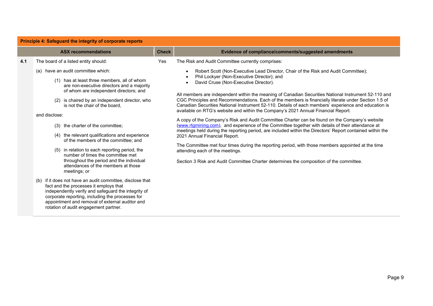|     | Principle 4: Safeguard the integrity of corporate reports                                                                                                                                                                                                                                                                                      |              |                                                                                                                                                                                                                                                                                                                                                                                                                                                                                                                                                                                                                                             |  |  |  |  |
|-----|------------------------------------------------------------------------------------------------------------------------------------------------------------------------------------------------------------------------------------------------------------------------------------------------------------------------------------------------|--------------|---------------------------------------------------------------------------------------------------------------------------------------------------------------------------------------------------------------------------------------------------------------------------------------------------------------------------------------------------------------------------------------------------------------------------------------------------------------------------------------------------------------------------------------------------------------------------------------------------------------------------------------------|--|--|--|--|
|     | <b>ASX recommendations</b>                                                                                                                                                                                                                                                                                                                     | <b>Check</b> | Evidence of compliance/comments/suggested amendments                                                                                                                                                                                                                                                                                                                                                                                                                                                                                                                                                                                        |  |  |  |  |
| 4.1 | The board of a listed entity should:<br>(a) have an audit committee which:<br>(1) has at least three members, all of whom<br>are non-executive directors and a majority<br>of whom are independent directors; and<br>(2) is chaired by an independent director, who<br>is not the chair of the board.                                          | Yes          | The Risk and Audit Committee currently comprises:<br>Robert Scott (Non-Executive Lead Director, Chair of the Risk and Audit Committee);<br>Phil Lockyer (Non-Executive Director); and<br>David Cruse (Non-Executive Director).<br>All members are independent within the meaning of Canadian Securities National Instrument 52-110 and<br>CGC Principles and Recommendations. Each of the members is financially literate under Section 1.5 of<br>Canadian Securities National Instrument 52-110. Details of each members' experience and education is<br>available on RTG's website and within the Company's 2021 Annual Financial Report. |  |  |  |  |
|     | and disclose:<br>the charter of the committee;<br>(3)<br>the relevant qualifications and experience<br>(4)<br>of the members of the committee; and<br>in relation to each reporting period, the<br>(5)<br>number of times the committee met<br>throughout the period and the individual<br>attendances of the members at those<br>meetings; or |              | A copy of the Company's Risk and Audit Committee Charter can be found on the Company's website<br>(www.rtgmining.com), and experience of the Committee together with details of their attendance at<br>meetings held during the reporting period, are included within the Directors' Report contained within the<br>2021 Annual Financial Report.<br>The Committee met four times during the reporting period, with those members appointed at the time<br>attending each of the meetings.<br>Section 3 Risk and Audit Committee Charter determines the composition of the committee.                                                       |  |  |  |  |
|     | if it does not have an audit committee, disclose that<br>fact and the processes it employs that<br>independently verify and safeguard the integrity of<br>corporate reporting, including the processes for<br>appointment and removal of external auditor and<br>rotation of audit engagement partner.                                         |              |                                                                                                                                                                                                                                                                                                                                                                                                                                                                                                                                                                                                                                             |  |  |  |  |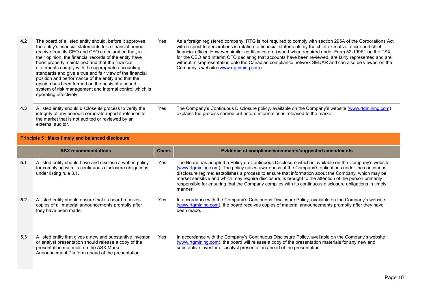- **4.2** The board of a listed entity should, before it approves the entity's financial statements for a financial period, receive from its CEO and CFO a declaration that, in their opinion, the financial records of the entity have been properly maintained and that the financial statements comply with the appropriate accounting standards and give a true and fair view of the financial position and performance of the entity and that the opinion has been formed on the basis of a sound system of risk management and internal control which is operating effectively. Yes As a foreign registered company, RTG is not required to comply with section 295A of the Corporations Act with respect to declarations in relation to financial statements by the chief executive officer and chief financial officer. However similar certificates are issued when required under Form 52-109F1 on the TSX for the CEO and Interim CFO declaring that accounts have been reviewed, are fairly represented and are without misrepresentation onto the Canadian compliance network SEDAR and can also be viewed on the Company's website [\(www.rtgmining.com\)](http://www.rtgmining.com/).
- **4.3** A listed entity should disclose its process to verify the integrity of any periodic corporate report it releases to the market that is not audited or reviewed by an external auditor.

Yes The Company's Continuous Disclosure policy, available on the Company's website [\(www.rtgmining.com\)](http://www.rtgmining.com/) explains the process carried out before information is released to the market.

#### **Principle 5 : Make timely and balanced disclosure**

|     | <b>ASX recommendations</b>                                                                                                                                                                                        | <b>Check</b> | Evidence of compliance/comments/suggested amendments                                                                                                                                                                                                                                                                                                                                                                                                                                                                                             |
|-----|-------------------------------------------------------------------------------------------------------------------------------------------------------------------------------------------------------------------|--------------|--------------------------------------------------------------------------------------------------------------------------------------------------------------------------------------------------------------------------------------------------------------------------------------------------------------------------------------------------------------------------------------------------------------------------------------------------------------------------------------------------------------------------------------------------|
| 5.1 | A listed entity should have and disclose a written policy<br>for complying with its continuous disclosure obligations<br>under listing rule 3.1.                                                                  | Yes          | The Board has adopted a Policy on Continuous Disclosure which is available on the Company's website<br>(www.rtgmining.com). The policy raises awareness of the Company's obligations under the continuous<br>disclosure regime; establishes a process to ensure that information about the Company, which may be<br>market sensitive and which may require disclosure, is brought to the attention of the person primarily<br>responsible for ensuring that the Company complies with its continuous disclosure obligations in timely<br>manner. |
| 5.2 | A listed entity should ensure that its board receives<br>copies of all material announcements promptly after<br>they have been made.                                                                              | Yes          | In accordance with the Company's Continuous Disclosure Policy, available on the Company's website<br>(www.rtgmining.com), the board receives copies of material announcements promptly after they have<br>been made.                                                                                                                                                                                                                                                                                                                             |
| 5.3 | A listed entity that gives a new and substantive investor<br>or analyst presentation should release a copy of the<br>presentation materials on the ASX Market<br>Announcement Platform ahead of the presentation. | Yes          | In accordance with the Company's Continuous Disclosure Policy, available on the Company's website<br>(www.rtgmining.com), the board will release a copy of the presentation materials for any new and<br>substantive investor or analyst presentation ahead of the presentation.                                                                                                                                                                                                                                                                 |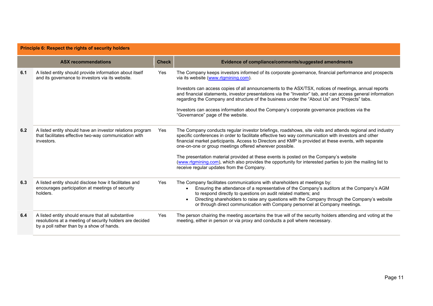|     | <b>Principle 6: Respect the rights of security holders</b>                                                                                                  |              |                                                                                                                                                                                                                                                                                                                                                                                                                                                                                                                                                                                                                                            |  |  |  |
|-----|-------------------------------------------------------------------------------------------------------------------------------------------------------------|--------------|--------------------------------------------------------------------------------------------------------------------------------------------------------------------------------------------------------------------------------------------------------------------------------------------------------------------------------------------------------------------------------------------------------------------------------------------------------------------------------------------------------------------------------------------------------------------------------------------------------------------------------------------|--|--|--|
|     | <b>ASX recommendations</b>                                                                                                                                  | <b>Check</b> | Evidence of compliance/comments/suggested amendments                                                                                                                                                                                                                                                                                                                                                                                                                                                                                                                                                                                       |  |  |  |
| 6.1 | A listed entity should provide information about itself<br>and its governance to investors via its website.                                                 | Yes          | The Company keeps investors informed of its corporate governance, financial performance and prospects<br>via its website (www.rtgmining.com).<br>Investors can access copies of all announcements to the ASX/TSX, notices of meetings, annual reports<br>and financial statements, investor presentations via the "Investor" tab, and can access general information<br>regarding the Company and structure of the business under the "About Us" and "Projects" tabs.<br>Investors can access information about the Company's corporate governance practices via the<br>"Governance" page of the website.                                  |  |  |  |
| 6.2 | A listed entity should have an investor relations program<br>that facilitates effective two-way communication with<br>investors.                            | <b>Yes</b>   | The Company conducts regular investor briefings, roadshows, site visits and attends regional and industry<br>specific conferences in order to facilitate effective two way communication with investors and other<br>financial market participants. Access to Directors and KMP is provided at these events, with separate<br>one-on-one or group meetings offered wherever possible.<br>The presentation material provided at these events is posted on the Company's website<br>(www.rtgmining.com), which also provides the opportunity for interested parties to join the mailing list to<br>receive regular updates from the Company. |  |  |  |
| 6.3 | A listed entity should disclose how it facilitates and<br>encourages participation at meetings of security<br>holders.                                      | Yes          | The Company facilitates communications with shareholders at meetings by:<br>Ensuring the attendance of a representative of the Company's auditors at the Company's AGM<br>to respond directly to questions on audit related matters; and<br>Directing shareholders to raise any questions with the Company through the Company's website<br>or through direct communication with Company personnel at Company meetings.                                                                                                                                                                                                                    |  |  |  |
| 6.4 | A listed entity should ensure that all substantive<br>resolutions at a meeting of security holders are decided<br>by a poll rather than by a show of hands. | Yes          | The person chairing the meeting ascertains the true will of the security holders attending and voting at the<br>meeting, either in person or via proxy and conducts a poll where necessary.                                                                                                                                                                                                                                                                                                                                                                                                                                                |  |  |  |

۰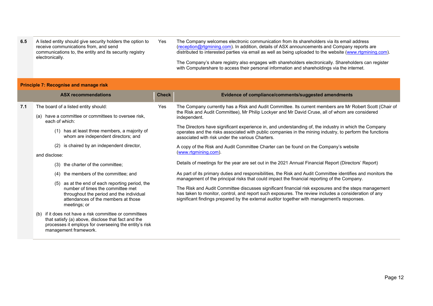- **6.5** A listed entity should give security holders the option to receive communications from, and send communications to, the entity and its security registry electronically.
	- Yes The Company welcomes electronic communication from its shareholders via its email address [\(reception@rtgmining.com\)](mailto:reception@rtgmining.com). In addition, details of ASX announcements and Company reports are distributed to interested parties via email as well as being uploaded to the website [\(www.rtgmining.com\)](http://www.rtgmining.com/).

The Company's share registry also engages with shareholders electronically. Shareholders can register with Computershare to access their personal information and shareholdings via the internet.

#### **Principle 7: Recognise and manage risk**

management framework.

|     | <b>ASX recommendations</b>                                                                                                                                                                                                                                                                                                                                                                                                                                                                                                                                      | <b>Check</b> | Evidence of compliance/comments/suggested amendments                                                                                                                                                                                                                                                                                                                                                                                                                                                                                                                                                                                                                                                                                                                                                                                                                                                                                                                                                                                                                                                                                                                                                                                                      |
|-----|-----------------------------------------------------------------------------------------------------------------------------------------------------------------------------------------------------------------------------------------------------------------------------------------------------------------------------------------------------------------------------------------------------------------------------------------------------------------------------------------------------------------------------------------------------------------|--------------|-----------------------------------------------------------------------------------------------------------------------------------------------------------------------------------------------------------------------------------------------------------------------------------------------------------------------------------------------------------------------------------------------------------------------------------------------------------------------------------------------------------------------------------------------------------------------------------------------------------------------------------------------------------------------------------------------------------------------------------------------------------------------------------------------------------------------------------------------------------------------------------------------------------------------------------------------------------------------------------------------------------------------------------------------------------------------------------------------------------------------------------------------------------------------------------------------------------------------------------------------------------|
| 7.1 | The board of a listed entity should:<br>have a committee or committees to oversee risk,<br>(a)<br>each of which:<br>has at least three members, a majority of<br>(1)<br>whom are independent directors; and<br>is chaired by an independent director,<br>(2)<br>and disclose:<br>the charter of the committee;<br>(3)<br>the members of the committee; and<br>(4)<br>as at the end of each reporting period, the<br>(5)<br>number of times the committee met<br>throughout the period and the individual<br>attendances of the members at those<br>meetings; or | Yes          | The Company currently has a Risk and Audit Committee. Its current members are Mr Robert Scott (Chair of<br>the Risk and Audit Committee), Mr Philip Lockyer and Mr David Cruse, all of whom are considered<br>independent.<br>The Directors have significant experience in, and understanding of, the industry in which the Company<br>operates and the risks associated with public companies in the mining industry, to perform the functions<br>associated with risk under the various Charters.<br>A copy of the Risk and Audit Committee Charter can be found on the Company's website<br>(www.rtgmining.com).<br>Details of meetings for the year are set out in the 2021 Annual Financial Report (Directors' Report)<br>As part of its primary duties and responsibilities, the Risk and Audit Committee identifies and monitors the<br>management of the principal risks that could impact the financial reporting of the Company.<br>The Risk and Audit Committee discusses significant financial risk exposures and the steps management<br>has taken to monitor, control, and report such exposures. The review includes a consideration of any<br>significant findings prepared by the external auditor together with management's responses. |
|     | if it does not have a risk committee or committees<br>(b)<br>that satisfy (a) above, disclose that fact and the<br>processes it employs for overseeing the entity's risk                                                                                                                                                                                                                                                                                                                                                                                        |              |                                                                                                                                                                                                                                                                                                                                                                                                                                                                                                                                                                                                                                                                                                                                                                                                                                                                                                                                                                                                                                                                                                                                                                                                                                                           |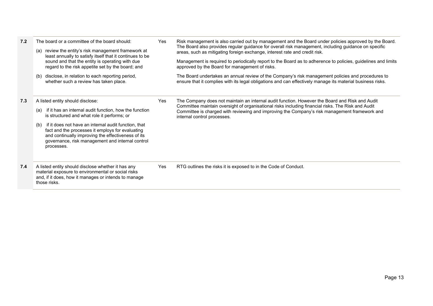| 7.2 | The board or a committee of the board should:<br>(a) review the entity's risk management framework at<br>least annually to satisfy itself that it continues to be<br>sound and that the entity is operating with due<br>regard to the risk appetite set by the board; and<br>disclose, in relation to each reporting period,<br>(b)<br>whether such a review has taken place.               | Yes | Risk management is also carried out by management and the Board under policies approved by the Board.<br>The Board also provides regular guidance for overall risk management, including guidance on specific<br>areas, such as mitigating foreign exchange, interest rate and credit risk.<br>Management is required to periodically report to the Board as to adherence to policies, guidelines and limits<br>approved by the Board for management of risks.<br>The Board undertakes an annual review of the Company's risk management policies and procedures to<br>ensure that it complies with its legal obligations and can effectively manage its material business risks. |
|-----|---------------------------------------------------------------------------------------------------------------------------------------------------------------------------------------------------------------------------------------------------------------------------------------------------------------------------------------------------------------------------------------------|-----|-----------------------------------------------------------------------------------------------------------------------------------------------------------------------------------------------------------------------------------------------------------------------------------------------------------------------------------------------------------------------------------------------------------------------------------------------------------------------------------------------------------------------------------------------------------------------------------------------------------------------------------------------------------------------------------|
| 7.3 | A listed entity should disclose:<br>if it has an internal audit function, how the function<br>(a)<br>is structured and what role it performs; or<br>if it does not have an internal audit function, that<br>(b)<br>fact and the processes it employs for evaluating<br>and continually improving the effectiveness of its<br>governance, risk management and internal control<br>processes. | Yes | The Company does not maintain an internal audit function. However the Board and Risk and Audit<br>Committee maintain oversight of organisational risks including financial risks. The Risk and Audit<br>Committee is charged with reviewing and improving the Company's risk management framework and<br>internal control processes.                                                                                                                                                                                                                                                                                                                                              |
| 7.4 | A listed entity should disclose whether it has any<br>material exposure to environmental or social risks<br>and, if it does, how it manages or intends to manage<br>those risks.                                                                                                                                                                                                            | Yes | RTG outlines the risks it is exposed to in the Code of Conduct.                                                                                                                                                                                                                                                                                                                                                                                                                                                                                                                                                                                                                   |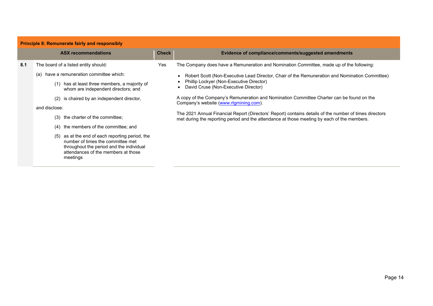| <b>Principle 8: Remunerate fairly and responsibly</b> |                                                                                                                                                                                        |              |                                                                                                                                                                                                       |  |  |
|-------------------------------------------------------|----------------------------------------------------------------------------------------------------------------------------------------------------------------------------------------|--------------|-------------------------------------------------------------------------------------------------------------------------------------------------------------------------------------------------------|--|--|
|                                                       | <b>ASX recommendations</b>                                                                                                                                                             | <b>Check</b> | Evidence of compliance/comments/suggested amendments                                                                                                                                                  |  |  |
| 8.1                                                   | The board of a listed entity should:                                                                                                                                                   | Yes          | The Company does have a Remuneration and Nomination Committee, made up of the following:                                                                                                              |  |  |
|                                                       | have a remuneration committee which:<br>(a)                                                                                                                                            |              | Robert Scott (Non-Executive Lead Director, Chair of the Remuneration and Nomination Committee)<br>Phillip Lockyer (Non-Executive Director)<br>David Cruse (Non-Executive Director)                    |  |  |
|                                                       | has at least three members, a majority of<br>(1)<br>whom are independent directors; and                                                                                                |              |                                                                                                                                                                                                       |  |  |
|                                                       | is chaired by an independent director,<br>(2)                                                                                                                                          |              | A copy of the Company's Remuneration and Nomination Committee Charter can be found on the<br>Company's website (www.rtgmining.com).                                                                   |  |  |
|                                                       | and disclose:                                                                                                                                                                          |              |                                                                                                                                                                                                       |  |  |
|                                                       | the charter of the committee;<br>(3)                                                                                                                                                   |              | The 2021 Annual Financial Report (Directors' Report) contains details of the number of times directors<br>met during the reporting period and the attendance at those meeting by each of the members. |  |  |
|                                                       | the members of the committee; and<br>(4)                                                                                                                                               |              |                                                                                                                                                                                                       |  |  |
|                                                       | as at the end of each reporting period, the<br>(5)<br>number of times the committee met<br>throughout the period and the individual<br>attendances of the members at those<br>meetings |              |                                                                                                                                                                                                       |  |  |